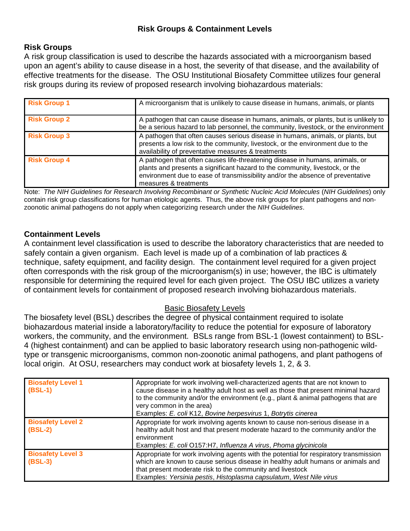# **Risk Groups & Containment Levels**

## **Risk Groups**

A risk group classification is used to describe the hazards associated with a microorganism based upon an agent's ability to cause disease in a host, the severity of that disease, and the availability of effective treatments for the disease. The OSU Institutional Biosafety Committee utilizes four general risk groups during its review of proposed research involving biohazardous materials:

| <b>Risk Group 1</b> | A microorganism that is unlikely to cause disease in humans, animals, or plants                                                                                                                                                                                         |
|---------------------|-------------------------------------------------------------------------------------------------------------------------------------------------------------------------------------------------------------------------------------------------------------------------|
| <b>Risk Group 2</b> | A pathogen that can cause disease in humans, animals, or plants, but is unlikely to<br>be a serious hazard to lab personnel, the community, livestock, or the environment                                                                                               |
| <b>Risk Group 3</b> | A pathogen that often causes serious disease in humans, animals, or plants, but<br>presents a low risk to the community, livestock, or the environment due to the<br>availability of preventative measures & treatments                                                 |
| <b>Risk Group 4</b> | A pathogen that often causes life-threatening disease in humans, animals, or<br>plants and presents a significant hazard to the community, livestock, or the<br>environment due to ease of transmissibility and/or the absence of preventative<br>measures & treatments |

Note: *The NIH Guidelines for Research Involving Recombinant or Synthetic Nucleic Acid Molecules* (*NIH Guidelines*) only contain risk group classifications for human etiologic agents. Thus, the above risk groups for plant pathogens and nonzoonotic animal pathogens do not apply when categorizing research under the *NIH Guidelines*.

## **Containment Levels**

A containment level classification is used to describe the laboratory characteristics that are needed to safely contain a given organism. Each level is made up of a combination of lab practices & technique, safety equipment, and facility design. The containment level required for a given project often corresponds with the risk group of the microorganism(s) in use; however, the IBC is ultimately responsible for determining the required level for each given project. The OSU IBC utilizes a variety of containment levels for containment of proposed research involving biohazardous materials.

## Basic Biosafety Levels

The biosafety level (BSL) describes the degree of physical containment required to isolate biohazardous material inside a laboratory/facility to reduce the potential for exposure of laboratory workers, the community, and the environment. BSLs range from BSL-1 (lowest containment) to BSL-4 (highest containment) and can be applied to basic laboratory research using non-pathogenic wildtype or transgenic microorganisms, common non-zoonotic animal pathogens, and plant pathogens of local origin. At OSU, researchers may conduct work at biosafety levels 1, 2, & 3.

| <b>Biosafety Level 1</b><br>$(BSL-1)$ | Appropriate for work involving well-characterized agents that are not known to<br>cause disease in a healthy adult host as well as those that present minimal hazard<br>to the community and/or the environment (e.g., plant & animal pathogens that are<br>very common in the area)<br>Examples: E. coli K12, Bovine herpesvirus 1, Botrytis cinerea |
|---------------------------------------|-------------------------------------------------------------------------------------------------------------------------------------------------------------------------------------------------------------------------------------------------------------------------------------------------------------------------------------------------------|
| <b>Biosafety Level 2</b><br>$(BSL-2)$ | Appropriate for work involving agents known to cause non-serious disease in a<br>healthy adult host and that present moderate hazard to the community and/or the<br>environment<br>Examples: E. coli O157:H7, Influenza A virus, Phoma glycinicola                                                                                                    |
| <b>Biosafety Level 3</b><br>$(BSL-3)$ | Appropriate for work involving agents with the potential for respiratory transmission<br>which are known to cause serious disease in healthy adult humans or animals and<br>that present moderate risk to the community and livestock<br>Examples: Yersinia pestis, Histoplasma capsulatum, West Nile virus                                           |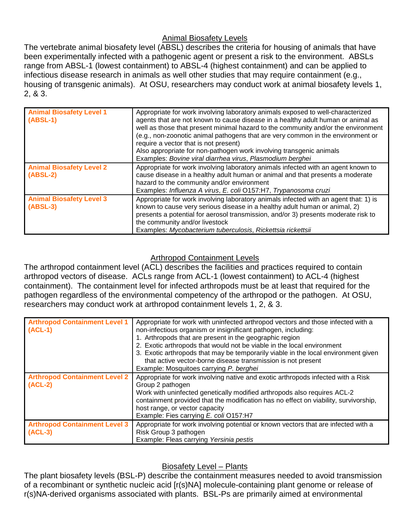# Animal Biosafety Levels

The vertebrate animal biosafety level (ABSL) describes the criteria for housing of animals that have been experimentally infected with a pathogenic agent or present a risk to the environment. ABSLs range from ABSL-1 (lowest containment) to ABSL-4 (highest containment) and can be applied to infectious disease research in animals as well other studies that may require containment (e.g., housing of transgenic animals). At OSU, researchers may conduct work at animal biosafety levels 1, 2, & 3.

| <b>Animal Biosafety Level 1</b><br>$(ABSL-1)$ | Appropriate for work involving laboratory animals exposed to well-characterized<br>agents that are not known to cause disease in a healthy adult human or animal as<br>well as those that present minimal hazard to the community and/or the environment<br>(e.g., non-zoonotic animal pathogens that are very common in the environment or<br>require a vector that is not present)<br>Also appropriate for non-pathogen work involving transgenic animals<br>Examples: Bovine viral diarrhea virus, Plasmodium berghei |
|-----------------------------------------------|--------------------------------------------------------------------------------------------------------------------------------------------------------------------------------------------------------------------------------------------------------------------------------------------------------------------------------------------------------------------------------------------------------------------------------------------------------------------------------------------------------------------------|
| <b>Animal Biosafety Level 2</b><br>$(ABSL-2)$ | Appropriate for work involving laboratory animals infected with an agent known to<br>cause disease in a healthy adult human or animal and that presents a moderate<br>hazard to the community and/or environment<br>Examples: Influenza A virus, E. coli O157:H7, Trypanosoma cruzi                                                                                                                                                                                                                                      |
| <b>Animal Biosafety Level 3</b><br>$(ABSL-3)$ | Appropriate for work involving laboratory animals infected with an agent that: 1) is<br>known to cause very serious disease in a healthy adult human or animal, 2)<br>presents a potential for aerosol transmission, and/or 3) presents moderate risk to<br>the community and/or livestock<br>Examples: Mycobacterium tuberculosis, Rickettsia rickettsii                                                                                                                                                                |

# Arthropod Containment Levels

The arthropod containment level (ACL) describes the facilities and practices required to contain arthropod vectors of disease. ACLs range from ACL-1 (lowest containment) to ACL-4 (highest containment). The containment level for infected arthropods must be at least that required for the pathogen regardless of the environmental competency of the arthropod or the pathogen. At OSU, researchers may conduct work at arthropod containment levels 1, 2, & 3.

| <b>Arthropod Containment Level 1</b><br>$(ACL-1)$ | Appropriate for work with uninfected arthropod vectors and those infected with a<br>non-infectious organism or insignificant pathogen, including:<br>1. Arthropods that are present in the geographic region<br>2. Exotic arthropods that would not be viable in the local environment<br>3. Exotic arthropods that may be temporarily viable in the local environment given<br>that active vector-borne disease transmission is not present<br>Example: Mosquitoes carrying P. berghei |
|---------------------------------------------------|-----------------------------------------------------------------------------------------------------------------------------------------------------------------------------------------------------------------------------------------------------------------------------------------------------------------------------------------------------------------------------------------------------------------------------------------------------------------------------------------|
| <b>Arthropod Containment Level 2</b><br>$(ACL-2)$ | Appropriate for work involving native and exotic arthropods infected with a Risk<br>Group 2 pathogen<br>Work with uninfected genetically modified arthropods also requires ACL-2<br>containment provided that the modification has no effect on viability, survivorship,<br>host range, or vector capacity<br>Example: Fies carrying E. coli O157:H7                                                                                                                                    |
| <b>Arthropod Containment Level 3</b><br>$(ACL-3)$ | Appropriate for work involving potential or known vectors that are infected with a<br>Risk Group 3 pathogen<br>Example: Fleas carrying Yersinia pestis                                                                                                                                                                                                                                                                                                                                  |

# Biosafety Level – Plants

The plant biosafety levels (BSL-P) describe the containment measures needed to avoid transmission of a recombinant or synthetic nucleic acid [r(s)NA] molecule-containing plant genome or release of r(s)NA-derived organisms associated with plants. BSL-Ps are primarily aimed at environmental